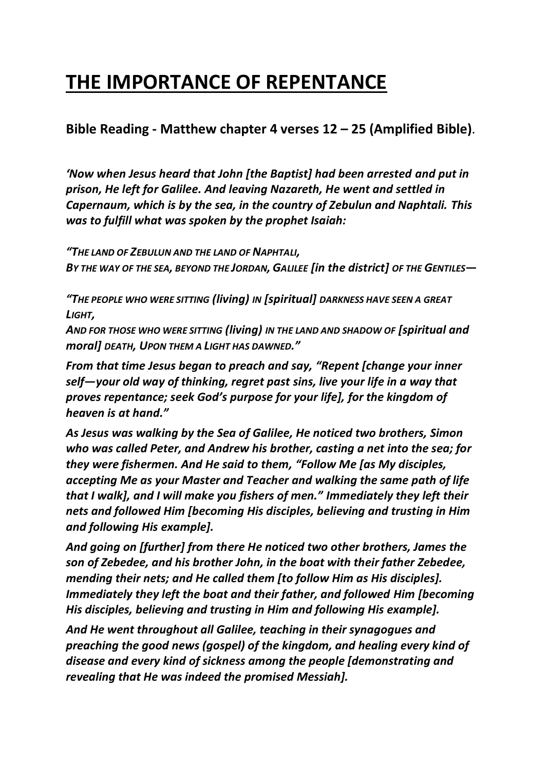# **THE IMPORTANCE OF REPENTANCE**

## **Bible Reading - Matthew chapter 4 verses 12 – 25 (Amplified Bible)**.

*'Now when Jesus heard that John [the Baptist] had been arrested and put in prison, He left for Galilee. And leaving Nazareth, He went and settled in Capernaum, which is by the sea, in the country of Zebulun and Naphtali. This was to fulfill what was spoken by the prophet Isaiah:*

*"THE LAND OF ZEBULUN AND THE LAND OF NAPHTALI, BY THE WAY OF THE SEA, BEYOND THE JORDAN, GALILEE [in the district] OF THE GENTILES—*

*"THE PEOPLE WHO WERE SITTING (living) IN [spiritual] DARKNESS HAVE SEEN A GREAT LIGHT,*

*AND FOR THOSE WHO WERE SITTING (living) IN THE LAND AND SHADOW OF [spiritual and moral] DEATH, UPON THEM A LIGHT HAS DAWNED."*

*From that time Jesus began to preach and say, "Repent [change your inner self—your old way of thinking, regret past sins, live your life in a way that proves repentance; seek God's purpose for your life], for the kingdom of heaven is at hand."*

*As Jesus was walking by the Sea of Galilee, He noticed two brothers, Simon who was called Peter, and Andrew his brother, casting a net into the sea; for they were fishermen. And He said to them, "Follow Me [as My disciples, accepting Me as your Master and Teacher and walking the same path of life that I walk], and I will make you fishers of men." Immediately they left their nets and followed Him [becoming His disciples, believing and trusting in Him and following His example].* 

*And going on [further] from there He noticed two other brothers, James the son of Zebedee, and his brother John, in the boat with their father Zebedee, mending their nets; and He called them [to follow Him as His disciples]. Immediately they left the boat and their father, and followed Him [becoming His disciples, believing and trusting in Him and following His example].*

*And He went throughout all Galilee, teaching in their synagogues and preaching the good news (gospel) of the kingdom, and healing every kind of disease and every kind of sickness among the people [demonstrating and revealing that He was indeed the promised Messiah].*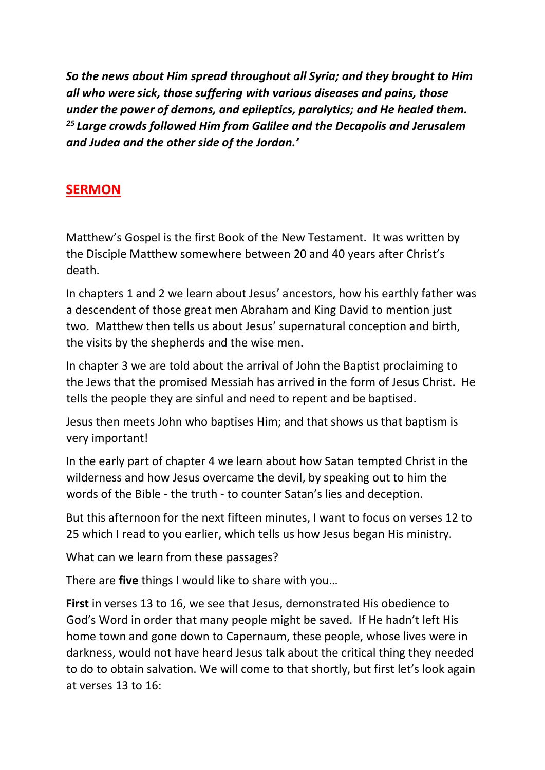*So the news about Him spread throughout all Syria; and they brought to Him all who were sick, those suffering with various diseases and pains, those under the power of demons, and epileptics, paralytics; and He healed them. <sup>25</sup> Large crowds followed Him from Galilee and the Decapolis and Jerusalem and Judea and the other side of the Jordan.'*

### **SERMON**

Matthew's Gospel is the first Book of the New Testament. It was written by the Disciple Matthew somewhere between 20 and 40 years after Christ's death.

In chapters 1 and 2 we learn about Jesus' ancestors, how his earthly father was a descendent of those great men Abraham and King David to mention just two. Matthew then tells us about Jesus' supernatural conception and birth, the visits by the shepherds and the wise men.

In chapter 3 we are told about the arrival of John the Baptist proclaiming to the Jews that the promised Messiah has arrived in the form of Jesus Christ. He tells the people they are sinful and need to repent and be baptised.

Jesus then meets John who baptises Him; and that shows us that baptism is very important!

In the early part of chapter 4 we learn about how Satan tempted Christ in the wilderness and how Jesus overcame the devil, by speaking out to him the words of the Bible - the truth - to counter Satan's lies and deception.

But this afternoon for the next fifteen minutes, I want to focus on verses 12 to 25 which I read to you earlier, which tells us how Jesus began His ministry.

What can we learn from these passages?

There are **five** things I would like to share with you…

**First** in verses 13 to 16, we see that Jesus, demonstrated His obedience to God's Word in order that many people might be saved. If He hadn't left His home town and gone down to Capernaum, these people, whose lives were in darkness, would not have heard Jesus talk about the critical thing they needed to do to obtain salvation. We will come to that shortly, but first let's look again at verses 13 to 16: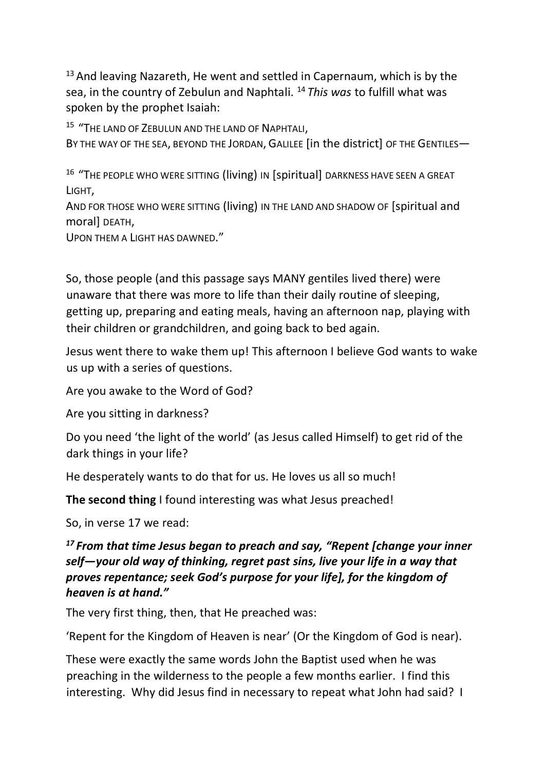$13$  And leaving Nazareth, He went and settled in Capernaum, which is by the sea, in the country of Zebulun and Naphtali. <sup>14</sup> *This was* to fulfill what was spoken by the prophet Isaiah:

<sup>15</sup> "The land of Zebulun and the land of Naphtali,

BY THE WAY OF THE SEA, BEYOND THE JORDAN, GALILEE [in the district] OF THE GENTILES—

<sup>16</sup> "THE PEOPLE WHO WERE SITTING (living) IN [spiritual] DARKNESS HAVE SEEN A GREAT LIGHT,

AND FOR THOSE WHO WERE SITTING (living) IN THE LAND AND SHADOW OF [spiritual and moral] DEATH,

UPON THEM A LIGHT HAS DAWNED."

So, those people (and this passage says MANY gentiles lived there) were unaware that there was more to life than their daily routine of sleeping, getting up, preparing and eating meals, having an afternoon nap, playing with their children or grandchildren, and going back to bed again.

Jesus went there to wake them up! This afternoon I believe God wants to wake us up with a series of questions.

Are you awake to the Word of God?

Are you sitting in darkness?

Do you need 'the light of the world' (as Jesus called Himself) to get rid of the dark things in your life?

He desperately wants to do that for us. He loves us all so much!

**The second thing** I found interesting was what Jesus preached!

So, in verse 17 we read:

#### *<sup>17</sup> From that time Jesus began to preach and say, "Repent [change your inner self—your old way of thinking, regret past sins, live your life in a way that proves repentance; seek God's purpose for your life], for the kingdom of heaven is at hand."*

The very first thing, then, that He preached was:

'Repent for the Kingdom of Heaven is near' (Or the Kingdom of God is near).

These were exactly the same words John the Baptist used when he was preaching in the wilderness to the people a few months earlier. I find this interesting. Why did Jesus find in necessary to repeat what John had said? I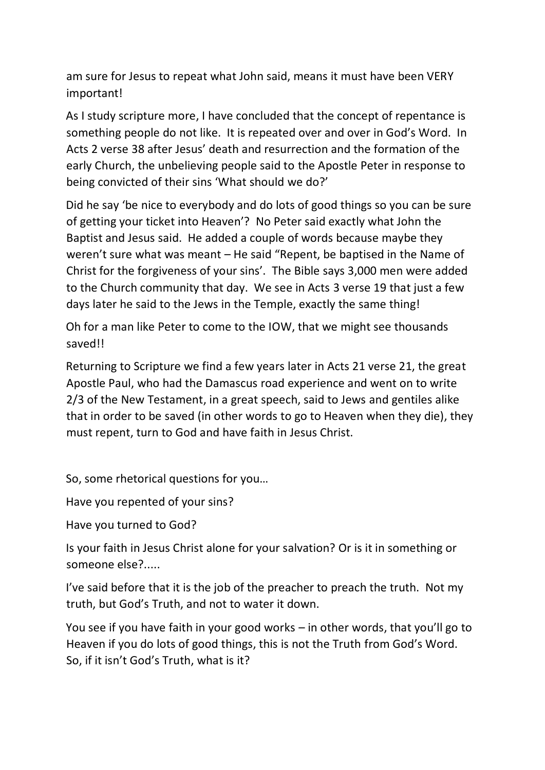am sure for Jesus to repeat what John said, means it must have been VERY important!

As I study scripture more, I have concluded that the concept of repentance is something people do not like. It is repeated over and over in God's Word. In Acts 2 verse 38 after Jesus' death and resurrection and the formation of the early Church, the unbelieving people said to the Apostle Peter in response to being convicted of their sins 'What should we do?'

Did he say 'be nice to everybody and do lots of good things so you can be sure of getting your ticket into Heaven'? No Peter said exactly what John the Baptist and Jesus said. He added a couple of words because maybe they weren't sure what was meant – He said "Repent, be baptised in the Name of Christ for the forgiveness of your sins'. The Bible says 3,000 men were added to the Church community that day. We see in Acts 3 verse 19 that just a few days later he said to the Jews in the Temple, exactly the same thing!

Oh for a man like Peter to come to the IOW, that we might see thousands saved!!

Returning to Scripture we find a few years later in Acts 21 verse 21, the great Apostle Paul, who had the Damascus road experience and went on to write 2/3 of the New Testament, in a great speech, said to Jews and gentiles alike that in order to be saved (in other words to go to Heaven when they die), they must repent, turn to God and have faith in Jesus Christ.

So, some rhetorical questions for you…

Have you repented of your sins?

Have you turned to God?

Is your faith in Jesus Christ alone for your salvation? Or is it in something or someone else?.....

I've said before that it is the job of the preacher to preach the truth. Not my truth, but God's Truth, and not to water it down.

You see if you have faith in your good works – in other words, that you'll go to Heaven if you do lots of good things, this is not the Truth from God's Word. So, if it isn't God's Truth, what is it?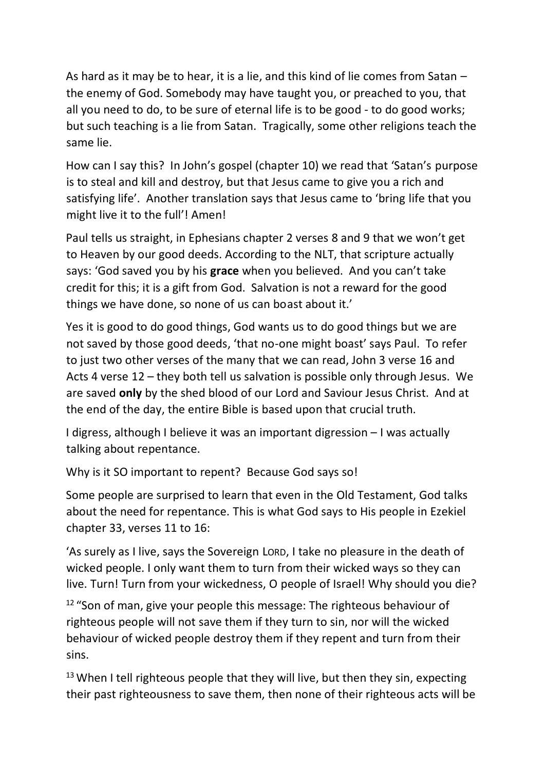As hard as it may be to hear, it is a lie, and this kind of lie comes from Satan – the enemy of God. Somebody may have taught you, or preached to you, that all you need to do, to be sure of eternal life is to be good - to do good works; but such teaching is a lie from Satan. Tragically, some other religions teach the same lie.

How can I say this? In John's gospel (chapter 10) we read that 'Satan's purpose is to steal and kill and destroy, but that Jesus came to give you a rich and satisfying life'. Another translation says that Jesus came to 'bring life that you might live it to the full'! Amen!

Paul tells us straight, in Ephesians chapter 2 verses 8 and 9 that we won't get to Heaven by our good deeds. According to the NLT, that scripture actually says: 'God saved you by his **grace** when you believed. And you can't take credit for this; it is a gift from God. Salvation is not a reward for the good things we have done, so none of us can boast about it.'

Yes it is good to do good things, God wants us to do good things but we are not saved by those good deeds, 'that no-one might boast' says Paul. To refer to just two other verses of the many that we can read, John 3 verse 16 and Acts 4 verse 12 – they both tell us salvation is possible only through Jesus. We are saved **only** by the shed blood of our Lord and Saviour Jesus Christ. And at the end of the day, the entire Bible is based upon that crucial truth.

I digress, although I believe it was an important digression – I was actually talking about repentance.

Why is it SO important to repent? Because God says so!

Some people are surprised to learn that even in the Old Testament, God talks about the need for repentance. This is what God says to His people in Ezekiel chapter 33, verses 11 to 16:

'As surely as I live, says the Sovereign LORD, I take no pleasure in the death of wicked people. I only want them to turn from their wicked ways so they can live. Turn! Turn from your wickedness, O people of Israel! Why should you die?

 $12$  "Son of man, give your people this message: The righteous behaviour of righteous people will not save them if they turn to sin, nor will the wicked behaviour of wicked people destroy them if they repent and turn from their sins.

 $13$  When I tell righteous people that they will live, but then they sin, expecting their past righteousness to save them, then none of their righteous acts will be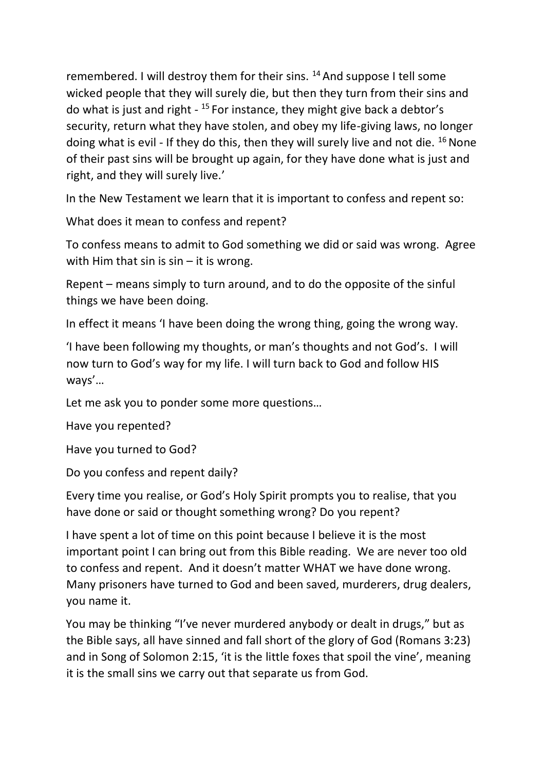remembered. I will destroy them for their sins. <sup>14</sup> And suppose I tell some wicked people that they will surely die, but then they turn from their sins and do what is just and right - <sup>15</sup> For instance, they might give back a debtor's security, return what they have stolen, and obey my life-giving laws, no longer doing what is evil - If they do this, then they will surely live and not die.  $^{16}$  None of their past sins will be brought up again, for they have done what is just and right, and they will surely live.'

In the New Testament we learn that it is important to confess and repent so:

What does it mean to confess and repent?

To confess means to admit to God something we did or said was wrong. Agree with Him that sin is  $sin - it$  is wrong.

Repent – means simply to turn around, and to do the opposite of the sinful things we have been doing.

In effect it means 'I have been doing the wrong thing, going the wrong way.

'I have been following my thoughts, or man's thoughts and not God's. I will now turn to God's way for my life. I will turn back to God and follow HIS ways'…

Let me ask you to ponder some more questions…

Have you repented?

Have you turned to God?

Do you confess and repent daily?

Every time you realise, or God's Holy Spirit prompts you to realise, that you have done or said or thought something wrong? Do you repent?

I have spent a lot of time on this point because I believe it is the most important point I can bring out from this Bible reading. We are never too old to confess and repent. And it doesn't matter WHAT we have done wrong. Many prisoners have turned to God and been saved, murderers, drug dealers, you name it.

You may be thinking "I've never murdered anybody or dealt in drugs," but as the Bible says, all have sinned and fall short of the glory of God (Romans 3:23) and in Song of Solomon 2:15, 'it is the little foxes that spoil the vine', meaning it is the small sins we carry out that separate us from God.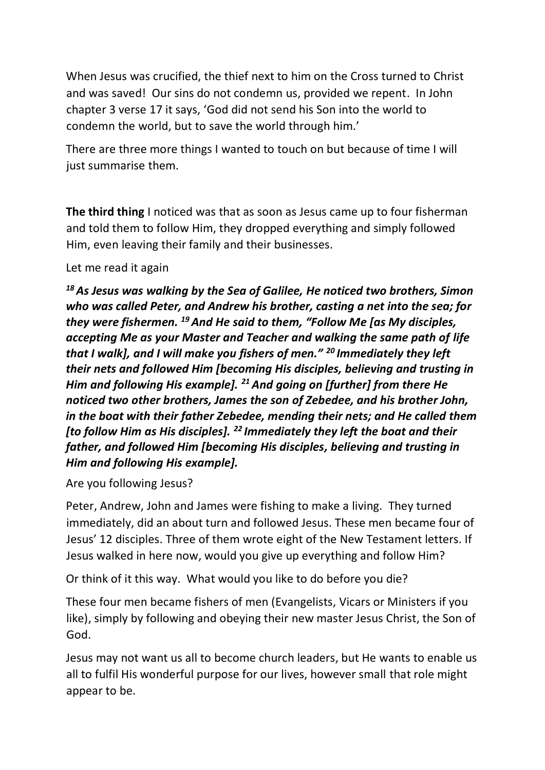When Jesus was crucified, the thief next to him on the Cross turned to Christ and was saved! Our sins do not condemn us, provided we repent. In John chapter 3 verse 17 it says, 'God did not send his Son into the world to condemn the world, but to save the world through him.'

There are three more things I wanted to touch on but because of time I will just summarise them.

**The third thing** I noticed was that as soon as Jesus came up to four fisherman and told them to follow Him, they dropped everything and simply followed Him, even leaving their family and their businesses.

#### Let me read it again

*<sup>18</sup>As Jesus was walking by the Sea of Galilee, He noticed two brothers, Simon who was called Peter, and Andrew his brother, casting a net into the sea; for they were fishermen. <sup>19</sup>And He said to them, "Follow Me [as My disciples, accepting Me as your Master and Teacher and walking the same path of life that I walk], and I will make you fishers of men." <sup>20</sup> Immediately they left their nets and followed Him [becoming His disciples, believing and trusting in Him and following His example]. <sup>21</sup> And going on [further] from there He noticed two other brothers, James the son of Zebedee, and his brother John, in the boat with their father Zebedee, mending their nets; and He called them [to follow Him as His disciples]. <sup>22</sup> Immediately they left the boat and their father, and followed Him [becoming His disciples, believing and trusting in Him and following His example].*

Are you following Jesus?

Peter, Andrew, John and James were fishing to make a living. They turned immediately, did an about turn and followed Jesus. These men became four of Jesus' 12 disciples. Three of them wrote eight of the New Testament letters. If Jesus walked in here now, would you give up everything and follow Him?

Or think of it this way. What would you like to do before you die?

These four men became fishers of men (Evangelists, Vicars or Ministers if you like), simply by following and obeying their new master Jesus Christ, the Son of God.

Jesus may not want us all to become church leaders, but He wants to enable us all to fulfil His wonderful purpose for our lives, however small that role might appear to be.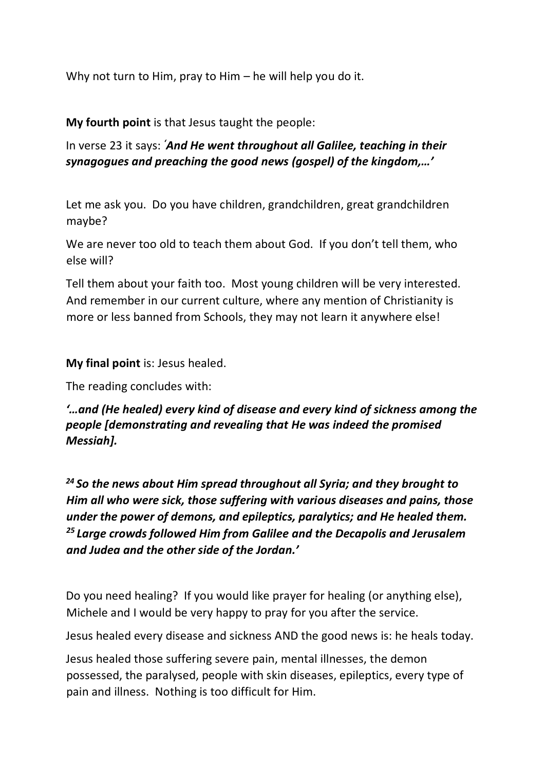Why not turn to Him, pray to Him – he will help you do it.

#### **My fourth point** is that Jesus taught the people:

In verse 23 it says: *'And He went throughout all Galilee, teaching in their synagogues and preaching the good news (gospel) of the kingdom,…'*

Let me ask you. Do you have children, grandchildren, great grandchildren maybe?

We are never too old to teach them about God. If you don't tell them, who else will?

Tell them about your faith too. Most young children will be very interested. And remember in our current culture, where any mention of Christianity is more or less banned from Schools, they may not learn it anywhere else!

**My final point** is: Jesus healed.

The reading concludes with:

*'…and (He healed) every kind of disease and every kind of sickness among the people [demonstrating and revealing that He was indeed the promised Messiah].*

*<sup>24</sup> So the news about Him spread throughout all Syria; and they brought to Him all who were sick, those suffering with various diseases and pains, those under the power of demons, and epileptics, paralytics; and He healed them. <sup>25</sup> Large crowds followed Him from Galilee and the Decapolis and Jerusalem and Judea and the other side of the Jordan.'*

Do you need healing? If you would like prayer for healing (or anything else), Michele and I would be very happy to pray for you after the service.

Jesus healed every disease and sickness AND the good news is: he heals today.

Jesus healed those suffering severe pain, mental illnesses, the demon possessed, the paralysed, people with skin diseases, epileptics, every type of pain and illness. Nothing is too difficult for Him.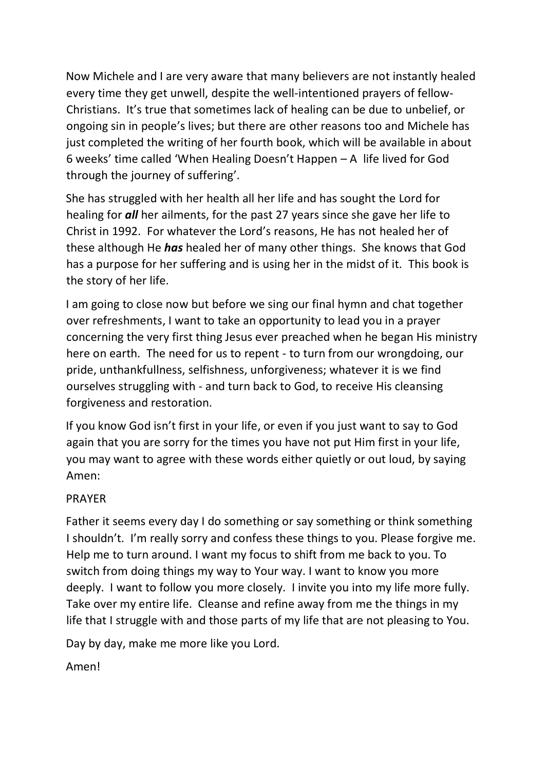Now Michele and I are very aware that many believers are not instantly healed every time they get unwell, despite the well-intentioned prayers of fellow-Christians. It's true that sometimes lack of healing can be due to unbelief, or ongoing sin in people's lives; but there are other reasons too and Michele has just completed the writing of her fourth book, which will be available in about 6 weeks' time called 'When Healing Doesn't Happen – A life lived for God through the journey of suffering'.

She has struggled with her health all her life and has sought the Lord for healing for *all* her ailments, for the past 27 years since she gave her life to Christ in 1992. For whatever the Lord's reasons, He has not healed her of these although He *has* healed her of many other things. She knows that God has a purpose for her suffering and is using her in the midst of it. This book is the story of her life.

I am going to close now but before we sing our final hymn and chat together over refreshments, I want to take an opportunity to lead you in a prayer concerning the very first thing Jesus ever preached when he began His ministry here on earth. The need for us to repent - to turn from our wrongdoing, our pride, unthankfullness, selfishness, unforgiveness; whatever it is we find ourselves struggling with - and turn back to God, to receive His cleansing forgiveness and restoration.

If you know God isn't first in your life, or even if you just want to say to God again that you are sorry for the times you have not put Him first in your life, you may want to agree with these words either quietly or out loud, by saying Amen:

#### PRAYER

Father it seems every day I do something or say something or think something I shouldn't. I'm really sorry and confess these things to you. Please forgive me. Help me to turn around. I want my focus to shift from me back to you. To switch from doing things my way to Your way. I want to know you more deeply. I want to follow you more closely. I invite you into my life more fully. Take over my entire life. Cleanse and refine away from me the things in my life that I struggle with and those parts of my life that are not pleasing to You.

Day by day, make me more like you Lord.

Amen!